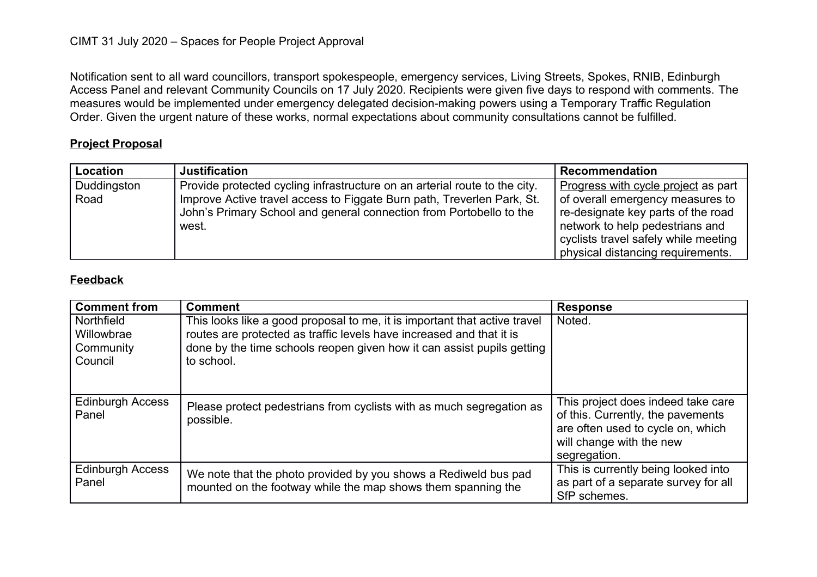Notification sent to all ward councillors, transport spokespeople, emergency services, Living Streets, Spokes, RNIB, Edinburgh Access Panel and relevant Community Councils on 17 July 2020. Recipients were given five days to respond with comments. The measures would be implemented under emergency delegated decision-making powers using a Temporary Traffic Regulation Order. Given the urgent nature of these works, normal expectations about community consultations cannot be fulfilled.

## **Project Proposal**

| <b>Location</b>     | <b>Justification</b>                                                                                                                                                                                                                 | <b>Recommendation</b>                                                                                                                                                                    |
|---------------------|--------------------------------------------------------------------------------------------------------------------------------------------------------------------------------------------------------------------------------------|------------------------------------------------------------------------------------------------------------------------------------------------------------------------------------------|
| Duddingston<br>Road | Provide protected cycling infrastructure on an arterial route to the city.<br>Improve Active travel access to Figgate Burn path, Treverlen Park, St.<br>John's Primary School and general connection from Portobello to the<br>west. | Progress with cycle project as part<br>of overall emergency measures to<br>re-designate key parts of the road<br>network to help pedestrians and<br>cyclists travel safely while meeting |
|                     |                                                                                                                                                                                                                                      | physical distancing requirements.                                                                                                                                                        |

## **Feedback**

| <b>Comment from</b>                              | <b>Comment</b>                                                                                                                                                                                                                            | <b>Response</b>                                                                                                                                          |
|--------------------------------------------------|-------------------------------------------------------------------------------------------------------------------------------------------------------------------------------------------------------------------------------------------|----------------------------------------------------------------------------------------------------------------------------------------------------------|
| Northfield<br>Willowbrae<br>Community<br>Council | This looks like a good proposal to me, it is important that active travel<br>routes are protected as traffic levels have increased and that it is<br>done by the time schools reopen given how it can assist pupils getting<br>to school. | Noted.                                                                                                                                                   |
| <b>Edinburgh Access</b><br>Panel                 | Please protect pedestrians from cyclists with as much segregation as<br>possible.                                                                                                                                                         | This project does indeed take care<br>of this. Currently, the pavements<br>are often used to cycle on, which<br>will change with the new<br>segregation. |
| <b>Edinburgh Access</b><br>Panel                 | We note that the photo provided by you shows a Rediweld bus pad<br>mounted on the footway while the map shows them spanning the                                                                                                           | This is currently being looked into<br>as part of a separate survey for all<br>SfP schemes.                                                              |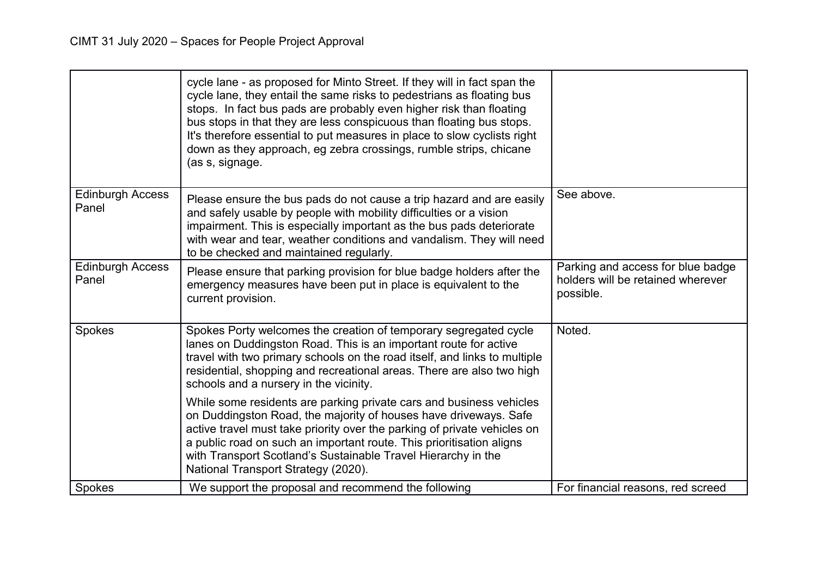|                                  | cycle lane - as proposed for Minto Street. If they will in fact span the<br>cycle lane, they entail the same risks to pedestrians as floating bus<br>stops. In fact bus pads are probably even higher risk than floating<br>bus stops in that they are less conspicuous than floating bus stops.<br>It's therefore essential to put measures in place to slow cyclists right<br>down as they approach, eg zebra crossings, rumble strips, chicane<br>(as s, signage. |                                                                                     |
|----------------------------------|----------------------------------------------------------------------------------------------------------------------------------------------------------------------------------------------------------------------------------------------------------------------------------------------------------------------------------------------------------------------------------------------------------------------------------------------------------------------|-------------------------------------------------------------------------------------|
| <b>Edinburgh Access</b><br>Panel | Please ensure the bus pads do not cause a trip hazard and are easily<br>and safely usable by people with mobility difficulties or a vision<br>impairment. This is especially important as the bus pads deteriorate<br>with wear and tear, weather conditions and vandalism. They will need<br>to be checked and maintained regularly.                                                                                                                                | See above.                                                                          |
| <b>Edinburgh Access</b><br>Panel | Please ensure that parking provision for blue badge holders after the<br>emergency measures have been put in place is equivalent to the<br>current provision.                                                                                                                                                                                                                                                                                                        | Parking and access for blue badge<br>holders will be retained wherever<br>possible. |
| Spokes                           | Spokes Porty welcomes the creation of temporary segregated cycle<br>lanes on Duddingston Road. This is an important route for active<br>travel with two primary schools on the road itself, and links to multiple<br>residential, shopping and recreational areas. There are also two high<br>schools and a nursery in the vicinity.                                                                                                                                 | Noted.                                                                              |
|                                  | While some residents are parking private cars and business vehicles<br>on Duddingston Road, the majority of houses have driveways. Safe<br>active travel must take priority over the parking of private vehicles on<br>a public road on such an important route. This prioritisation aligns<br>with Transport Scotland's Sustainable Travel Hierarchy in the<br>National Transport Strategy (2020).                                                                  |                                                                                     |
| Spokes                           | We support the proposal and recommend the following                                                                                                                                                                                                                                                                                                                                                                                                                  | For financial reasons, red screed                                                   |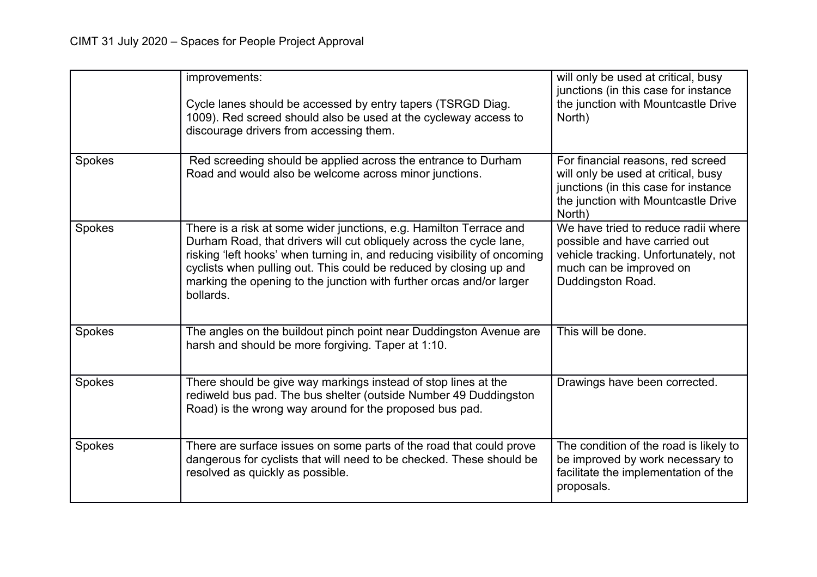|        | improvements:<br>Cycle lanes should be accessed by entry tapers (TSRGD Diag.<br>1009). Red screed should also be used at the cycleway access to<br>discourage drivers from accessing them.                                                                                                                                                                                        | will only be used at critical, busy<br>junctions (in this case for instance<br>the junction with Mountcastle Drive<br>North)                                      |
|--------|-----------------------------------------------------------------------------------------------------------------------------------------------------------------------------------------------------------------------------------------------------------------------------------------------------------------------------------------------------------------------------------|-------------------------------------------------------------------------------------------------------------------------------------------------------------------|
| Spokes | Red screeding should be applied across the entrance to Durham<br>Road and would also be welcome across minor junctions.                                                                                                                                                                                                                                                           | For financial reasons, red screed<br>will only be used at critical, busy<br>junctions (in this case for instance<br>the junction with Mountcastle Drive<br>North) |
| Spokes | There is a risk at some wider junctions, e.g. Hamilton Terrace and<br>Durham Road, that drivers will cut obliquely across the cycle lane,<br>risking 'left hooks' when turning in, and reducing visibility of oncoming<br>cyclists when pulling out. This could be reduced by closing up and<br>marking the opening to the junction with further orcas and/or larger<br>bollards. | We have tried to reduce radii where<br>possible and have carried out<br>vehicle tracking. Unfortunately, not<br>much can be improved on<br>Duddingston Road.      |
| Spokes | The angles on the buildout pinch point near Duddingston Avenue are<br>harsh and should be more forgiving. Taper at 1:10.                                                                                                                                                                                                                                                          | This will be done.                                                                                                                                                |
| Spokes | There should be give way markings instead of stop lines at the<br>rediweld bus pad. The bus shelter (outside Number 49 Duddingston<br>Road) is the wrong way around for the proposed bus pad.                                                                                                                                                                                     | Drawings have been corrected.                                                                                                                                     |
| Spokes | There are surface issues on some parts of the road that could prove<br>dangerous for cyclists that will need to be checked. These should be<br>resolved as quickly as possible.                                                                                                                                                                                                   | The condition of the road is likely to<br>be improved by work necessary to<br>facilitate the implementation of the<br>proposals.                                  |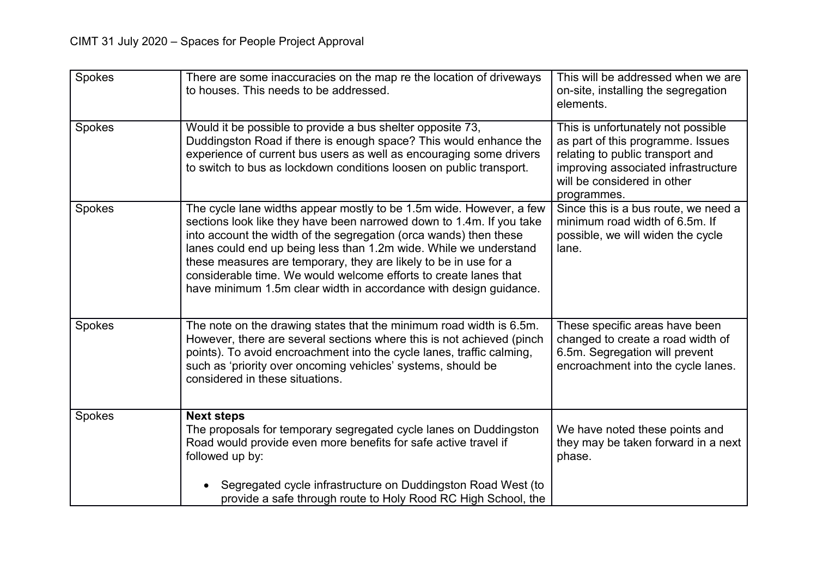| Spokes | There are some inaccuracies on the map re the location of driveways<br>to houses. This needs to be addressed.                                                                                                                                                                                                                                                                                                                                                                                      | This will be addressed when we are<br>on-site, installing the segregation<br>elements.                                                                                                           |
|--------|----------------------------------------------------------------------------------------------------------------------------------------------------------------------------------------------------------------------------------------------------------------------------------------------------------------------------------------------------------------------------------------------------------------------------------------------------------------------------------------------------|--------------------------------------------------------------------------------------------------------------------------------------------------------------------------------------------------|
| Spokes | Would it be possible to provide a bus shelter opposite 73,<br>Duddingston Road if there is enough space? This would enhance the<br>experience of current bus users as well as encouraging some drivers<br>to switch to bus as lockdown conditions loosen on public transport.                                                                                                                                                                                                                      | This is unfortunately not possible<br>as part of this programme. Issues<br>relating to public transport and<br>improving associated infrastructure<br>will be considered in other<br>programmes. |
| Spokes | The cycle lane widths appear mostly to be 1.5m wide. However, a few<br>sections look like they have been narrowed down to 1.4m. If you take<br>into account the width of the segregation (orca wands) then these<br>lanes could end up being less than 1.2m wide. While we understand<br>these measures are temporary, they are likely to be in use for a<br>considerable time. We would welcome efforts to create lanes that<br>have minimum 1.5m clear width in accordance with design guidance. | Since this is a bus route, we need a<br>minimum road width of 6.5m. If<br>possible, we will widen the cycle<br>lane.                                                                             |
| Spokes | The note on the drawing states that the minimum road width is 6.5m.<br>However, there are several sections where this is not achieved (pinch<br>points). To avoid encroachment into the cycle lanes, traffic calming,<br>such as 'priority over oncoming vehicles' systems, should be<br>considered in these situations.                                                                                                                                                                           | These specific areas have been<br>changed to create a road width of<br>6.5m. Segregation will prevent<br>encroachment into the cycle lanes.                                                      |
| Spokes | <b>Next steps</b><br>The proposals for temporary segregated cycle lanes on Duddingston<br>Road would provide even more benefits for safe active travel if<br>followed up by:<br>Segregated cycle infrastructure on Duddingston Road West (to<br>provide a safe through route to Holy Rood RC High School, the                                                                                                                                                                                      | We have noted these points and<br>they may be taken forward in a next<br>phase.                                                                                                                  |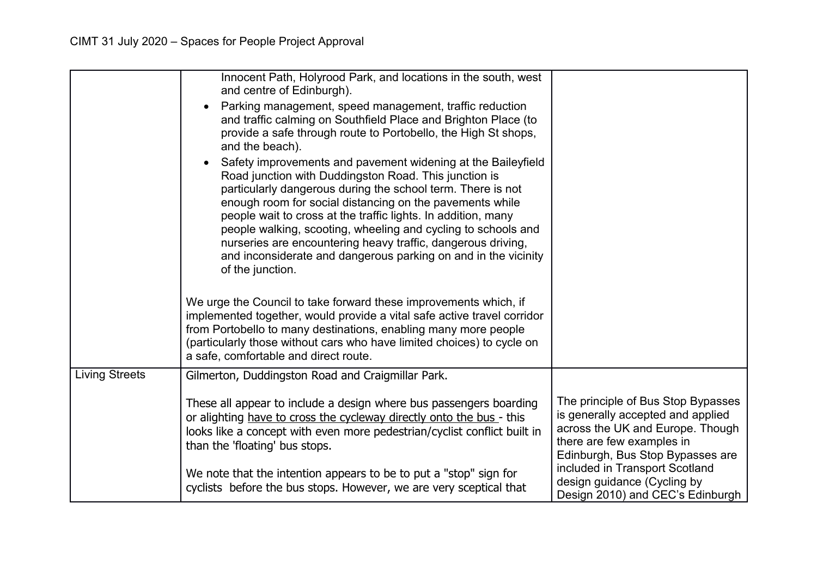|                       | Innocent Path, Holyrood Park, and locations in the south, west<br>and centre of Edinburgh).                                                                                                                                                                                                                                       |                                                                                                                                                                              |
|-----------------------|-----------------------------------------------------------------------------------------------------------------------------------------------------------------------------------------------------------------------------------------------------------------------------------------------------------------------------------|------------------------------------------------------------------------------------------------------------------------------------------------------------------------------|
|                       | Parking management, speed management, traffic reduction<br>and traffic calming on Southfield Place and Brighton Place (to<br>provide a safe through route to Portobello, the High St shops,<br>and the beach).                                                                                                                    |                                                                                                                                                                              |
|                       | Safety improvements and pavement widening at the Baileyfield<br>Road junction with Duddingston Road. This junction is<br>particularly dangerous during the school term. There is not<br>enough room for social distancing on the pavements while<br>people wait to cross at the traffic lights. In addition, many                 |                                                                                                                                                                              |
|                       | people walking, scooting, wheeling and cycling to schools and<br>nurseries are encountering heavy traffic, dangerous driving,<br>and inconsiderate and dangerous parking on and in the vicinity<br>of the junction.                                                                                                               |                                                                                                                                                                              |
|                       | We urge the Council to take forward these improvements which, if<br>implemented together, would provide a vital safe active travel corridor<br>from Portobello to many destinations, enabling many more people<br>(particularly those without cars who have limited choices) to cycle on<br>a safe, comfortable and direct route. |                                                                                                                                                                              |
| <b>Living Streets</b> | Gilmerton, Duddingston Road and Craigmillar Park.                                                                                                                                                                                                                                                                                 |                                                                                                                                                                              |
|                       | These all appear to include a design where bus passengers boarding<br>or alighting have to cross the cycleway directly onto the bus - this<br>looks like a concept with even more pedestrian/cyclist conflict built in<br>than the 'floating' bus stops.                                                                          | The principle of Bus Stop Bypasses<br>is generally accepted and applied<br>across the UK and Europe. Though<br>there are few examples in<br>Edinburgh, Bus Stop Bypasses are |
|                       | We note that the intention appears to be to put a "stop" sign for<br>cyclists before the bus stops. However, we are very sceptical that                                                                                                                                                                                           | included in Transport Scotland<br>design guidance (Cycling by<br>Design 2010) and CEC's Edinburgh                                                                            |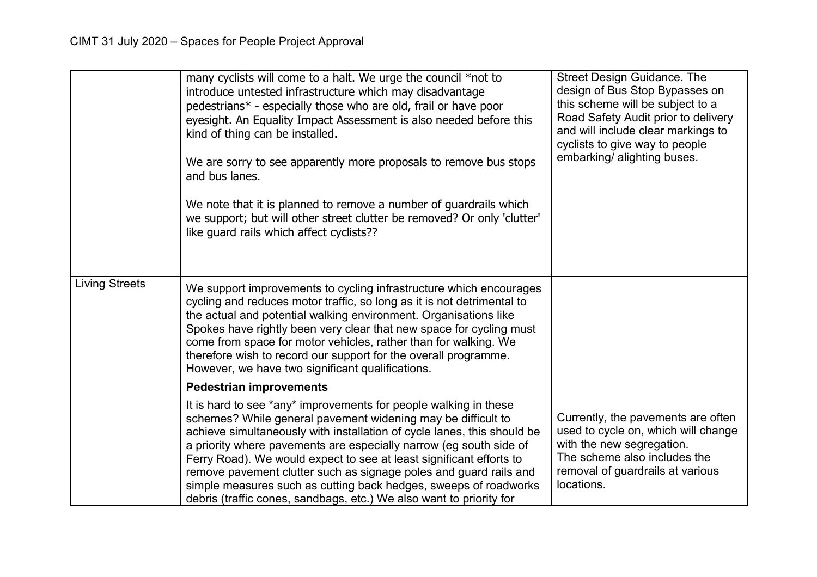|                       | many cyclists will come to a halt. We urge the council *not to<br>introduce untested infrastructure which may disadvantage<br>pedestrians* - especially those who are old, frail or have poor<br>eyesight. An Equality Impact Assessment is also needed before this<br>kind of thing can be installed.<br>We are sorry to see apparently more proposals to remove bus stops<br>and bus lanes.<br>We note that it is planned to remove a number of guardrails which<br>we support; but will other street clutter be removed? Or only 'clutter'<br>like guard rails which affect cyclists?? | <b>Street Design Guidance. The</b><br>design of Bus Stop Bypasses on<br>this scheme will be subject to a<br>Road Safety Audit prior to delivery<br>and will include clear markings to<br>cyclists to give way to people<br>embarking/ alighting buses. |
|-----------------------|-------------------------------------------------------------------------------------------------------------------------------------------------------------------------------------------------------------------------------------------------------------------------------------------------------------------------------------------------------------------------------------------------------------------------------------------------------------------------------------------------------------------------------------------------------------------------------------------|--------------------------------------------------------------------------------------------------------------------------------------------------------------------------------------------------------------------------------------------------------|
| <b>Living Streets</b> | We support improvements to cycling infrastructure which encourages<br>cycling and reduces motor traffic, so long as it is not detrimental to<br>the actual and potential walking environment. Organisations like<br>Spokes have rightly been very clear that new space for cycling must<br>come from space for motor vehicles, rather than for walking. We<br>therefore wish to record our support for the overall programme.<br>However, we have two significant qualifications.                                                                                                         |                                                                                                                                                                                                                                                        |
|                       | <b>Pedestrian improvements</b>                                                                                                                                                                                                                                                                                                                                                                                                                                                                                                                                                            |                                                                                                                                                                                                                                                        |
|                       | It is hard to see *any* improvements for people walking in these<br>schemes? While general pavement widening may be difficult to<br>achieve simultaneously with installation of cycle lanes, this should be<br>a priority where pavements are especially narrow (eg south side of<br>Ferry Road). We would expect to see at least significant efforts to<br>remove pavement clutter such as signage poles and guard rails and<br>simple measures such as cutting back hedges, sweeps of roadworks<br>debris (traffic cones, sandbags, etc.) We also want to priority for                  | Currently, the pavements are often<br>used to cycle on, which will change<br>with the new segregation.<br>The scheme also includes the<br>removal of guardrails at various<br>locations.                                                               |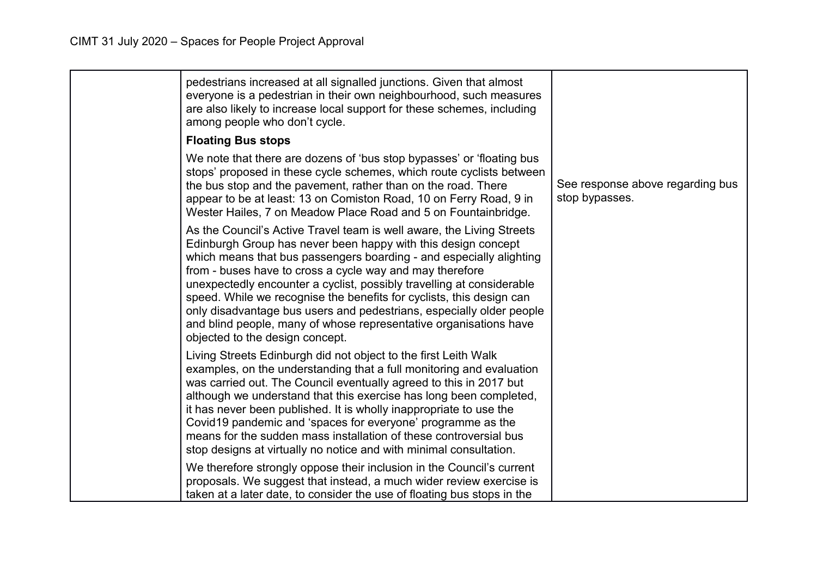| pedestrians increased at all signalled junctions. Given that almost<br>everyone is a pedestrian in their own neighbourhood, such measures<br>are also likely to increase local support for these schemes, including<br>among people who don't cycle.                                                                                                                                                                                                                                                                                                                                                       |                                                    |
|------------------------------------------------------------------------------------------------------------------------------------------------------------------------------------------------------------------------------------------------------------------------------------------------------------------------------------------------------------------------------------------------------------------------------------------------------------------------------------------------------------------------------------------------------------------------------------------------------------|----------------------------------------------------|
| <b>Floating Bus stops</b>                                                                                                                                                                                                                                                                                                                                                                                                                                                                                                                                                                                  |                                                    |
| We note that there are dozens of 'bus stop bypasses' or 'floating bus<br>stops' proposed in these cycle schemes, which route cyclists between<br>the bus stop and the pavement, rather than on the road. There<br>appear to be at least: 13 on Comiston Road, 10 on Ferry Road, 9 in<br>Wester Hailes, 7 on Meadow Place Road and 5 on Fountainbridge.                                                                                                                                                                                                                                                     | See response above regarding bus<br>stop bypasses. |
| As the Council's Active Travel team is well aware, the Living Streets<br>Edinburgh Group has never been happy with this design concept<br>which means that bus passengers boarding - and especially alighting<br>from - buses have to cross a cycle way and may therefore<br>unexpectedly encounter a cyclist, possibly travelling at considerable<br>speed. While we recognise the benefits for cyclists, this design can<br>only disadvantage bus users and pedestrians, especially older people<br>and blind people, many of whose representative organisations have<br>objected to the design concept. |                                                    |
| Living Streets Edinburgh did not object to the first Leith Walk<br>examples, on the understanding that a full monitoring and evaluation<br>was carried out. The Council eventually agreed to this in 2017 but<br>although we understand that this exercise has long been completed,<br>it has never been published. It is wholly inappropriate to use the<br>Covid19 pandemic and 'spaces for everyone' programme as the<br>means for the sudden mass installation of these controversial bus<br>stop designs at virtually no notice and with minimal consultation.                                        |                                                    |
| We therefore strongly oppose their inclusion in the Council's current<br>proposals. We suggest that instead, a much wider review exercise is<br>taken at a later date, to consider the use of floating bus stops in the                                                                                                                                                                                                                                                                                                                                                                                    |                                                    |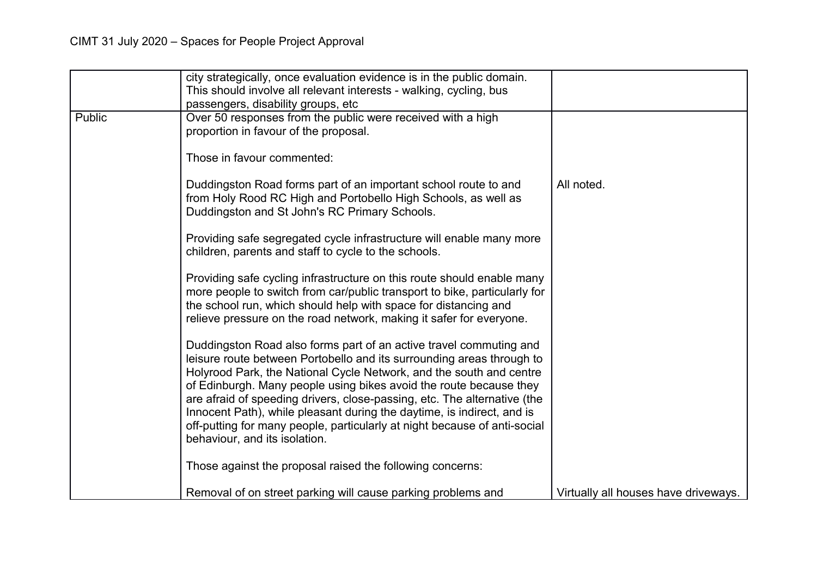|        | city strategically, once evaluation evidence is in the public domain.<br>This should involve all relevant interests - walking, cycling, bus<br>passengers, disability groups, etc                                                                                                                                                                                                                                                                                                                                                                            |                                      |
|--------|--------------------------------------------------------------------------------------------------------------------------------------------------------------------------------------------------------------------------------------------------------------------------------------------------------------------------------------------------------------------------------------------------------------------------------------------------------------------------------------------------------------------------------------------------------------|--------------------------------------|
| Public | Over 50 responses from the public were received with a high<br>proportion in favour of the proposal.                                                                                                                                                                                                                                                                                                                                                                                                                                                         |                                      |
|        | Those in favour commented:                                                                                                                                                                                                                                                                                                                                                                                                                                                                                                                                   |                                      |
|        | Duddingston Road forms part of an important school route to and<br>from Holy Rood RC High and Portobello High Schools, as well as<br>Duddingston and St John's RC Primary Schools.                                                                                                                                                                                                                                                                                                                                                                           | All noted.                           |
|        | Providing safe segregated cycle infrastructure will enable many more<br>children, parents and staff to cycle to the schools.                                                                                                                                                                                                                                                                                                                                                                                                                                 |                                      |
|        | Providing safe cycling infrastructure on this route should enable many<br>more people to switch from car/public transport to bike, particularly for<br>the school run, which should help with space for distancing and<br>relieve pressure on the road network, making it safer for everyone.                                                                                                                                                                                                                                                                |                                      |
|        | Duddingston Road also forms part of an active travel commuting and<br>leisure route between Portobello and its surrounding areas through to<br>Holyrood Park, the National Cycle Network, and the south and centre<br>of Edinburgh. Many people using bikes avoid the route because they<br>are afraid of speeding drivers, close-passing, etc. The alternative (the<br>Innocent Path), while pleasant during the daytime, is indirect, and is<br>off-putting for many people, particularly at night because of anti-social<br>behaviour, and its isolation. |                                      |
|        | Those against the proposal raised the following concerns:                                                                                                                                                                                                                                                                                                                                                                                                                                                                                                    |                                      |
|        | Removal of on street parking will cause parking problems and                                                                                                                                                                                                                                                                                                                                                                                                                                                                                                 | Virtually all houses have driveways. |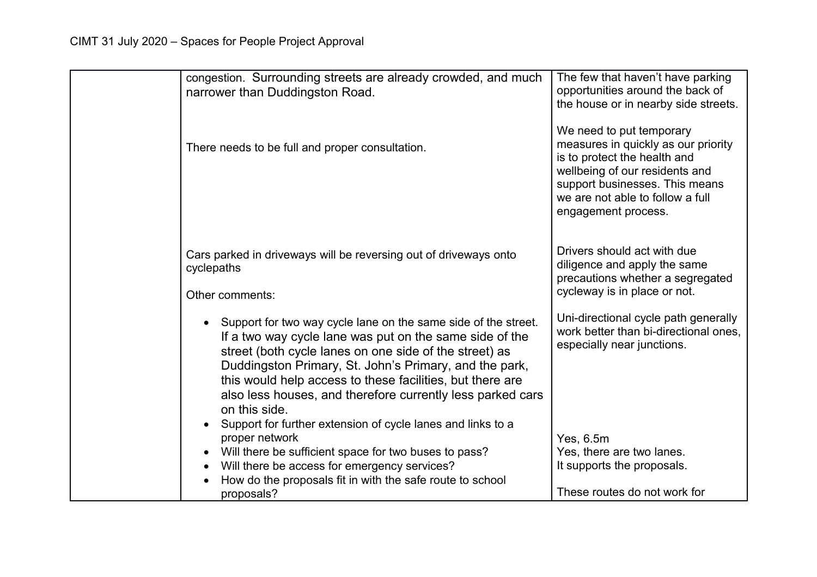| congestion. Surrounding streets are already crowded, and much<br>narrower than Duddingston Road.                                                                                                                                                                                                                                                                                                                                                         | The few that haven't have parking<br>opportunities around the back of<br>the house or in nearby side streets.                                                                                                                  |
|----------------------------------------------------------------------------------------------------------------------------------------------------------------------------------------------------------------------------------------------------------------------------------------------------------------------------------------------------------------------------------------------------------------------------------------------------------|--------------------------------------------------------------------------------------------------------------------------------------------------------------------------------------------------------------------------------|
| There needs to be full and proper consultation.                                                                                                                                                                                                                                                                                                                                                                                                          | We need to put temporary<br>measures in quickly as our priority<br>is to protect the health and<br>wellbeing of our residents and<br>support businesses. This means<br>we are not able to follow a full<br>engagement process. |
| Cars parked in driveways will be reversing out of driveways onto<br>cyclepaths                                                                                                                                                                                                                                                                                                                                                                           | Drivers should act with due<br>diligence and apply the same<br>precautions whether a segregated                                                                                                                                |
| Other comments:                                                                                                                                                                                                                                                                                                                                                                                                                                          | cycleway is in place or not.                                                                                                                                                                                                   |
| Support for two way cycle lane on the same side of the street.<br>If a two way cycle lane was put on the same side of the<br>street (both cycle lanes on one side of the street) as<br>Duddingston Primary, St. John's Primary, and the park,<br>this would help access to these facilities, but there are<br>also less houses, and therefore currently less parked cars<br>on this side.<br>Support for further extension of cycle lanes and links to a | Uni-directional cycle path generally<br>work better than bi-directional ones,<br>especially near junctions.                                                                                                                    |
| proper network                                                                                                                                                                                                                                                                                                                                                                                                                                           | Yes, 6.5m                                                                                                                                                                                                                      |
| Will there be sufficient space for two buses to pass?                                                                                                                                                                                                                                                                                                                                                                                                    | Yes, there are two lanes.                                                                                                                                                                                                      |
| Will there be access for emergency services?<br>$\bullet$<br>How do the proposals fit in with the safe route to school                                                                                                                                                                                                                                                                                                                                   | It supports the proposals.                                                                                                                                                                                                     |
| proposals?                                                                                                                                                                                                                                                                                                                                                                                                                                               | These routes do not work for                                                                                                                                                                                                   |